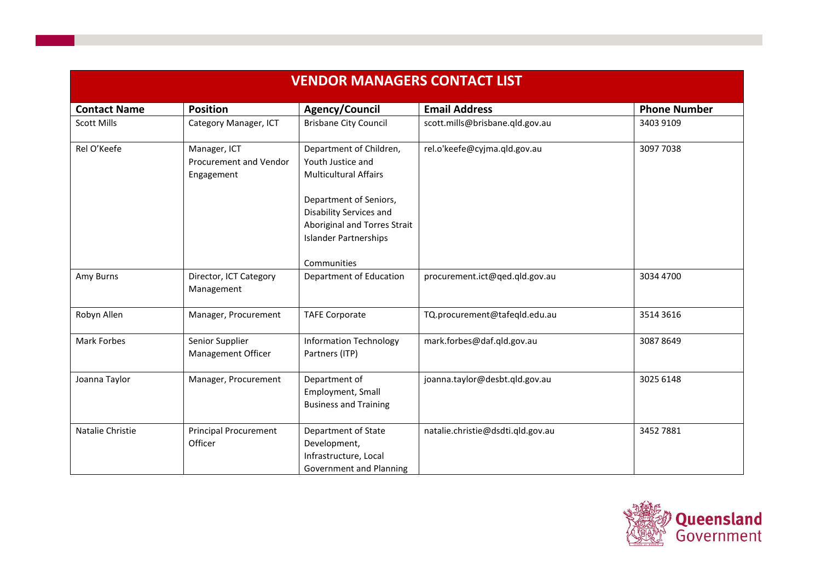| <b>VENDOR MANAGERS CONTACT LIST</b> |                                                      |                                                                                                                                   |                                   |                     |  |
|-------------------------------------|------------------------------------------------------|-----------------------------------------------------------------------------------------------------------------------------------|-----------------------------------|---------------------|--|
| <b>Contact Name</b>                 | <b>Position</b>                                      | Agency/Council                                                                                                                    | <b>Email Address</b>              | <b>Phone Number</b> |  |
| <b>Scott Mills</b>                  | Category Manager, ICT                                | <b>Brisbane City Council</b>                                                                                                      | scott.mills@brisbane.qld.gov.au   | 3403 9109           |  |
| Rel O'Keefe                         | Manager, ICT<br>Procurement and Vendor<br>Engagement | Department of Children,<br>Youth Justice and<br><b>Multicultural Affairs</b><br>Department of Seniors,<br>Disability Services and | rel.o'keefe@cyjma.qld.gov.au      | 3097 7038           |  |
|                                     |                                                      | Aboriginal and Torres Strait<br><b>Islander Partnerships</b><br>Communities                                                       |                                   |                     |  |
| Amy Burns                           | Director, ICT Category<br>Management                 | Department of Education                                                                                                           | procurement.ict@qed.qld.gov.au    | 3034 4700           |  |
| Robyn Allen                         | Manager, Procurement                                 | <b>TAFE Corporate</b>                                                                                                             | TQ.procurement@tafeqld.edu.au     | 3514 3616           |  |
| Mark Forbes                         | Senior Supplier<br>Management Officer                | <b>Information Technology</b><br>Partners (ITP)                                                                                   | mark.forbes@daf.qld.gov.au        | 30878649            |  |
| Joanna Taylor                       | Manager, Procurement                                 | Department of<br>Employment, Small<br><b>Business and Training</b>                                                                | joanna.taylor@desbt.qld.gov.au    | 3025 6148           |  |
| Natalie Christie                    | <b>Principal Procurement</b><br>Officer              | Department of State<br>Development,<br>Infrastructure, Local<br>Government and Planning                                           | natalie.christie@dsdti.qld.gov.au | 3452 7881           |  |

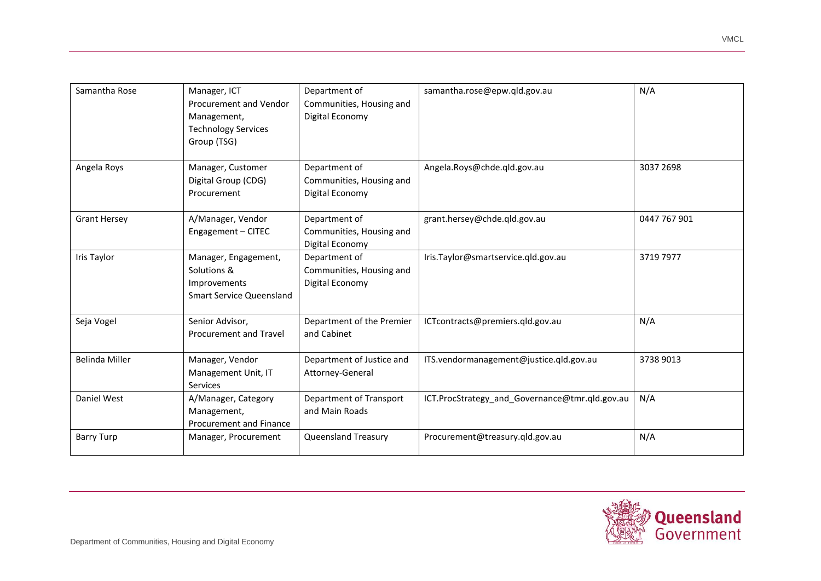| Samantha Rose         | Manager, ICT<br>Procurement and Vendor<br>Management,<br><b>Technology Services</b><br>Group (TSG) | Department of<br>Communities, Housing and<br>Digital Economy | samantha.rose@epw.gld.gov.au                   | N/A          |
|-----------------------|----------------------------------------------------------------------------------------------------|--------------------------------------------------------------|------------------------------------------------|--------------|
| Angela Roys           | Manager, Customer<br>Digital Group (CDG)<br>Procurement                                            | Department of<br>Communities, Housing and<br>Digital Economy | Angela.Roys@chde.qld.gov.au                    | 3037 2698    |
| <b>Grant Hersey</b>   | A/Manager, Vendor<br>Engagement - CITEC                                                            | Department of<br>Communities, Housing and<br>Digital Economy | grant.hersey@chde.qld.gov.au                   | 0447 767 901 |
| Iris Taylor           | Manager, Engagement,<br>Solutions &<br>Improvements<br><b>Smart Service Queensland</b>             | Department of<br>Communities, Housing and<br>Digital Economy | Iris.Taylor@smartservice.qld.gov.au            | 3719 7977    |
| Seja Vogel            | Senior Advisor,<br>Procurement and Travel                                                          | Department of the Premier<br>and Cabinet                     | ICTcontracts@premiers.qld.gov.au               | N/A          |
| <b>Belinda Miller</b> | Manager, Vendor<br>Management Unit, IT<br><b>Services</b>                                          | Department of Justice and<br>Attorney-General                | ITS.vendormanagement@justice.qld.gov.au        | 3738 9013    |
| Daniel West           | A/Manager, Category<br>Management,<br>Procurement and Finance                                      | Department of Transport<br>and Main Roads                    | ICT.ProcStrategy and Governance@tmr.qld.gov.au | N/A          |
| <b>Barry Turp</b>     | Manager, Procurement                                                                               | Queensland Treasury                                          | Procurement@treasury.qld.gov.au                | N/A          |



VMCL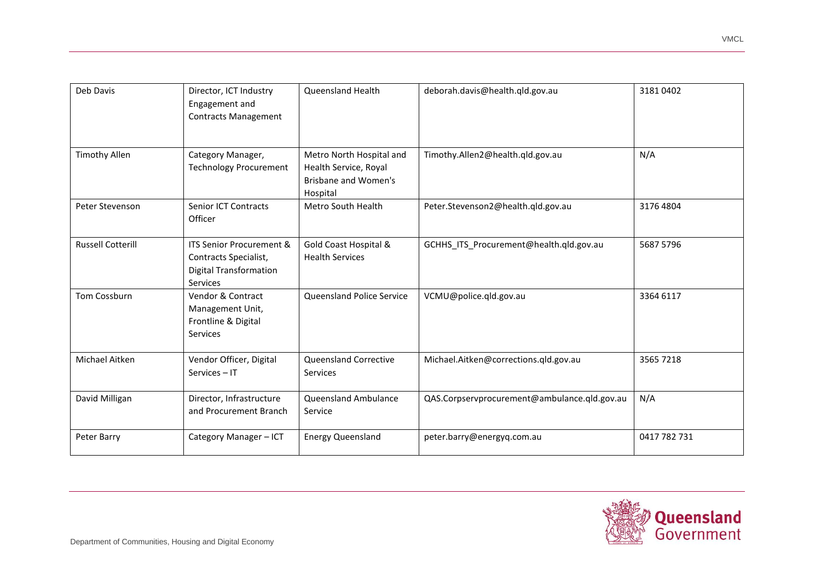| Deb Davis                | Director, ICT Industry<br>Engagement and<br><b>Contracts Management</b>                                          | Queensland Health                                                                            | deborah.davis@health.qld.gov.au              | 31810402     |
|--------------------------|------------------------------------------------------------------------------------------------------------------|----------------------------------------------------------------------------------------------|----------------------------------------------|--------------|
| <b>Timothy Allen</b>     | Category Manager,<br><b>Technology Procurement</b>                                                               | Metro North Hospital and<br>Health Service, Royal<br><b>Brisbane and Women's</b><br>Hospital | Timothy.Allen2@health.qld.gov.au             | N/A          |
| Peter Stevenson          | Senior ICT Contracts<br>Officer                                                                                  | Metro South Health                                                                           | Peter.Stevenson2@health.qld.gov.au           | 3176 4804    |
| <b>Russell Cotterill</b> | <b>ITS Senior Procurement &amp;</b><br>Contracts Specialist,<br><b>Digital Transformation</b><br><b>Services</b> | Gold Coast Hospital &<br><b>Health Services</b>                                              | GCHHS_ITS_Procurement@health.qld.gov.au      | 5687 5796    |
| Tom Cossburn             | Vendor & Contract<br>Management Unit,<br>Frontline & Digital<br><b>Services</b>                                  | Queensland Police Service                                                                    | VCMU@police.qld.gov.au                       | 3364 6117    |
| Michael Aitken           | Vendor Officer, Digital<br>Services - IT                                                                         | <b>Queensland Corrective</b><br><b>Services</b>                                              | Michael.Aitken@corrections.qld.gov.au        | 3565 7218    |
| David Milligan           | Director, Infrastructure<br>and Procurement Branch                                                               | Queensland Ambulance<br>Service                                                              | QAS.Corpservprocurement@ambulance.qld.gov.au | N/A          |
| Peter Barry              | Category Manager - ICT                                                                                           | <b>Energy Queensland</b>                                                                     | peter.barry@energyq.com.au                   | 0417 782 731 |



VMCL